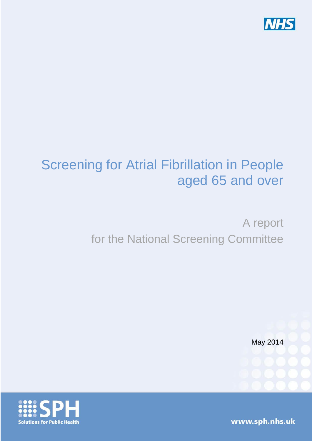

# Screening for Atrial Fibrillation in People aged 65 and over

# A report for the National Screening Committee

May 2014

www.sph.nhs.uk

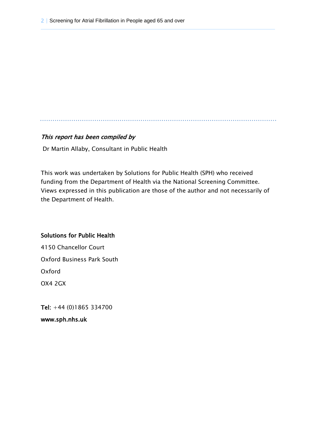#### This report has been compiled by

Dr Martin Allaby, Consultant in Public Health

This work was undertaken by Solutions for Public Health (SPH) who received funding from the Department of Health via the National Screening Committee. Views expressed in this publication are those of the author and not necessarily of the Department of Health.

#### Solutions for Public Health

4150 Chancellor Court Oxford Business Park South Oxford OX4 2GX

Tel: +44 (0)1865 334700

www.sph.nhs.uk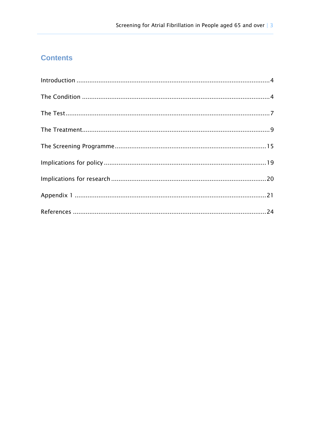# **Contents**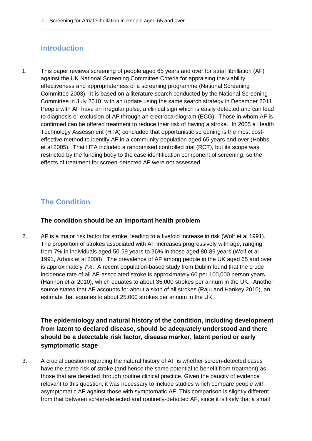# <span id="page-3-0"></span>**Introduction**

1. This paper reviews screening of people aged 65 years and over for atrial fibrillation (AF) against the UK National Screening Committee Criteria for appraising the viability, effectiveness and appropriateness of a screening programme (National Screening Committee 2003). It is based on a literature search conducted by the National Screening Committee in July 2010, with an update using the same search strategy in December 2011. People with AF have an irregular pulse, a clinical sign which is easily detected and can lead to diagnosis or exclusion of AF through an electrocardiogram (ECG). Those in whom AF is confirmed can be offered treatment to reduce their risk of having a stroke. In 2005 a Health Technology Assessment (HTA) concluded that opportunistic screening is the most costeffective method to identify AF in a community population aged 65 years and over (Hobbs et al 2005). That HTA included a randomised controlled trial (RCT), but its scope was restricted by the funding body to the case identification component of screening, so the effects of treatment for screen-detected AF were not assessed.

# <span id="page-3-1"></span>**The Condition**

#### **The condition should be an important health problem**

2. AF is a major risk factor for stroke, leading to a fivefold increase in risk (Wolf et al 1991). The proportion of strokes associated with AF increases progressively with age, ranging from 7% in individuals aged 50-59 years to 36% in those aged 80-89 years (Wolf et al 1991, Arboix et al 2008). The prevalence of AF among people in the UK aged 65 and over is approximately 7%. A recent population-based study from Dublin found that the crude incidence rate of all AF-associated stroke is approximately 60 per 100,000 person years (Hannon et al 2010), which equates to about 35,000 strokes per annum in the UK. Another source states that AF accounts for about a sixth of all strokes (Raju and Hankey 2010), an estimate that equates to about 25,000 strokes per annum in the UK.

**The epidemiology and natural history of the condition, including development from latent to declared disease, should be adequately understood and there should be a detectable risk factor, disease marker, latent period or early symptomatic stage**

3. A crucial question regarding the natural history of AF is whether screen-detected cases have the same risk of stroke (and hence the same potential to benefit from treatment) as those that are detected through routine clinical practice. Given the paucity of evidence relevant to this question, it was necessary to include studies which compare people with asymptomatic AF against those with symptomatic AF. This comparison is slightly different from that between screen-detected and routinely-detected AF, since it is likely that a small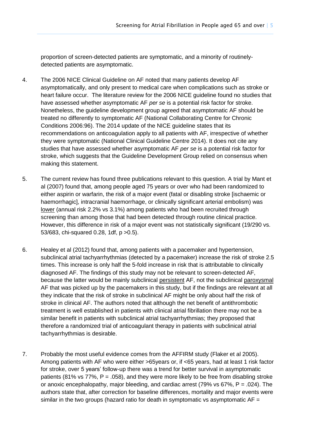proportion of screen-detected patients are symptomatic, and a minority of routinelydetected patients are asymptomatic.

- 4. The 2006 NICE Clinical Guideline on AF noted that many patients develop AF asymptomatically, and only present to medical care when complications such as stroke or heart failure occur. The literature review for the 2006 NICE guideline found no studies that have assessed whether asymptomatic AF *per se* is a potential risk factor for stroke. Nonetheless, the guideline development group agreed that asymptomatic AF should be treated no differently to symptomatic AF (National Collaborating Centre for Chronic Conditions 2006:96). The 2014 update of the NICE guideline states that its recommendations on anticoagulation apply to all patients with AF, irrespective of whether they were symptomatic (National Clinical Guideline Centre 2014). It does not cite any studies that have assessed whether asymptomatic AF *per se* is a potential risk factor for stroke, which suggests that the Guideline Development Group relied on consensus when making this statement.
- 5. The current review has found three publications relevant to this question. A trial by Mant et al (2007) found that, among people aged 75 years or over who had been randomized to either aspirin or warfarin, the risk of a major event (fatal or disabling stroke [ischaemic or haemorrhagic], intracranial haemorrhage, or clinically significant arterial embolism) was lower (annual risk 2.2% vs 3.1%) among patients who had been recruited through screening than among those that had been detected through routine clinical practice. However, this difference in risk of a major event was not statistically significant (19/290 vs. 53/683, chi-squared 0.28, 1df, p >0.5).
- 6. Healey et al (2012) found that, among patients with a pacemaker and hypertension, subclinical atrial tachyarrhythmias (detected by a pacemaker) increase the risk of stroke 2.5 times. This increase is only half the 5-fold increase in risk that is attributable to clinically diagnosed AF. The findings of this study may not be relevant to screen-detected AF, because the latter would be mainly subclinical persistent AF, not the subclinical paroxysmal AF that was picked up by the pacemakers in this study, but if the findings are relevant at all they indicate that the risk of stroke in subclinical AF might be only about half the risk of stroke in clinical AF. The authors noted that although the net benefit of antithrombotic treatment is well established in patients with clinical atrial fibrillation there may not be a similar benefit in patients with subclinical atrial tachyarrhythmias; they proposed that therefore a randomized trial of anticoagulant therapy in patients with subclinical atrial tachyarrhythmias is desirable.
- 7. Probably the most useful evidence comes from the AFFIRM study (Flaker et al 2005). Among patients with AF who were either >65years or, if <65 years, had at least 1 risk factor for stroke, over 5 years' follow-up there was a trend for better survival in asymptomatic patients (81% vs 77%,  $P = .058$ ), and they were more likely to be free from disabling stroke or anoxic encephalopathy, major bleeding, and cardiac arrest (79% vs 67%,  $P = .024$ ). The authors state that, after correction for baseline differences, mortality and major events were similar in the two groups (hazard ratio for death in symptomatic vs asymptomatic  $AF =$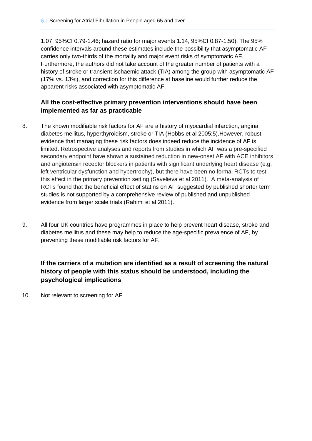1.07, 95%CI 0.79-1.46; hazard ratio for major events 1.14, 95%CI 0.87-1.50). The 95% confidence intervals around these estimates include the possibility that asymptomatic AF carries only two-thirds of the mortality and major event risks of symptomatic AF. Furthermore, the authors did not take account of the greater number of patients with a history of stroke or transient ischaemic attack (TIA) among the group with asymptomatic AF (17% vs. 13%), and correction for this difference at baseline would further reduce the apparent risks associated with asymptomatic AF.

#### **All the cost-effective primary prevention interventions should have been implemented as far as practicable**

- 8. The known modifiable risk factors for AF are a history of myocardial infarction, angina, diabetes mellitus, hyperthyroidism, stroke or TIA (Hobbs et al 2005:5).However, robust evidence that managing these risk factors does indeed reduce the incidence of AF is limited. Retrospective analyses and reports from studies in which AF was a pre-specified secondary endpoint have shown a sustained reduction in new-onset AF with ACE inhibitors and angiotensin receptor blockers in patients with significant underlying heart disease (e.g. left ventricular dysfunction and hypertrophy), but there have been no formal RCTs to test this effect in the primary prevention setting (Savelieva et al 2011). A meta-analysis of RCTs found that the beneficial effect of statins on AF suggested by published shorter term studies is not supported by a comprehensive review of published and unpublished evidence from larger scale trials (Rahimi et al 2011).
- 9. All four UK countries have programmes in place to help prevent heart disease, stroke and diabetes mellitus and these may help to reduce the age-specific prevalence of AF, by preventing these modifiable risk factors for AF.

# **If the carriers of a mutation are identified as a result of screening the natural history of people with this status should be understood, including the psychological implications**

10. Not relevant to screening for AF.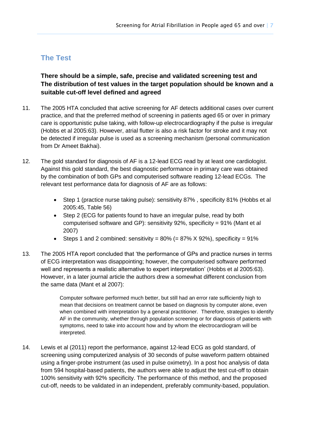# <span id="page-6-0"></span>**The Test**

**There should be a simple, safe, precise and validated screening test and The distribution of test values in the target population should be known and a suitable cut-off level defined and agreed**

- 11. The 2005 HTA concluded that active screening for AF detects additional cases over current practice, and that the preferred method of screening in patients aged 65 or over in primary care is opportunistic pulse taking, with follow-up electrocardiography if the pulse is irregular (Hobbs et al 2005:63). However, atrial flutter is also a risk factor for stroke and it may not be detected if irregular pulse is used as a screening mechanism (personal communication from Dr Ameet Bakhai).
- 12. The gold standard for diagnosis of AF is a 12-lead ECG read by at least one cardiologist. Against this gold standard, the best diagnostic performance in primary care was obtained by the combination of both GPs and computerised software reading 12-lead ECGs. The relevant test performance data for diagnosis of AF are as follows:
	- Step 1 (practice nurse taking pulse): sensitivity 87% , specificity 81% (Hobbs et al 2005:45, Table 56)
	- Step 2 (ECG for patients found to have an irregular pulse, read by both computerised software and GP): sensitivity 92%, specificity = 91% (Mant et al 2007)
	- Steps 1 and 2 combined: sensitivity =  $80\%$  (=  $87\%$  X 92%), specificity =  $91\%$
- 13. The 2005 HTA report concluded that 'the performance of GPs and practice nurses in terms of ECG interpretation was disappointing; however, the computerised software performed well and represents a realistic alternative to expert interpretation' (Hobbs et al 2005:63). However, in a later journal article the authors drew a somewhat different conclusion from the same data (Mant et al 2007):

Computer software performed much better, but still had an error rate sufficiently high to mean that decisions on treatment cannot be based on diagnosis by computer alone, even when combined with interpretation by a general practitioner. Therefore, strategies to identify AF in the community, whether through population screening or for diagnosis of patients with symptoms, need to take into account how and by whom the electrocardiogram will be interpreted.

14. Lewis et al (2011) report the performance, against 12-lead ECG as gold standard, of screening using computerized analysis of 30 seconds of pulse waveform pattern obtained using a finger-probe instrument (as used in pulse oximetry). In a post hoc analysis of data from 594 hospital-based patients, the authors were able to adjust the test cut-off to obtain 100% sensitivity with 92% specificity. The performance of this method, and the proposed cut-off, needs to be validated in an independent, preferably community-based, population.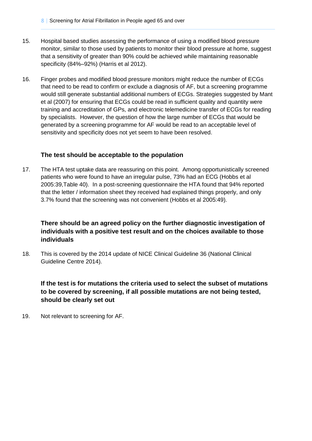- 15. Hospital based studies assessing the performance of using a modified blood pressure monitor, similar to those used by patients to monitor their blood pressure at home, suggest that a sensitivity of greater than 90% could be achieved while maintaining reasonable specificity (84%–92%) (Harris et al 2012).
- 16. Finger probes and modified blood pressure monitors might reduce the number of ECGs that need to be read to confirm or exclude a diagnosis of AF, but a screening programme would still generate substantial additional numbers of ECGs. Strategies suggested by Mant et al (2007) for ensuring that ECGs could be read in sufficient quality and quantity were training and accreditation of GPs, and electronic telemedicine transfer of ECGs for reading by specialists. However, the question of how the large number of ECGs that would be generated by a screening programme for AF would be read to an acceptable level of sensitivity and specificity does not yet seem to have been resolved.

#### **The test should be acceptable to the population**

17. The HTA test uptake data are reassuring on this point. Among opportunistically screened patients who were found to have an irregular pulse, 73% had an ECG (Hobbs et al 2005:39,Table 40). In a post-screening questionnaire the HTA found that 94% reported that the letter / information sheet they received had explained things properly, and only 3.7% found that the screening was not convenient (Hobbs et al 2005:49).

## **There should be an agreed policy on the further diagnostic investigation of individuals with a positive test result and on the choices available to those individuals**

18. This is covered by the 2014 update of NICE Clinical Guideline 36 (National Clinical Guideline Centre 2014).

## **If the test is for mutations the criteria used to select the subset of mutations to be covered by screening, if all possible mutations are not being tested, should be clearly set out**

19. Not relevant to screening for AF.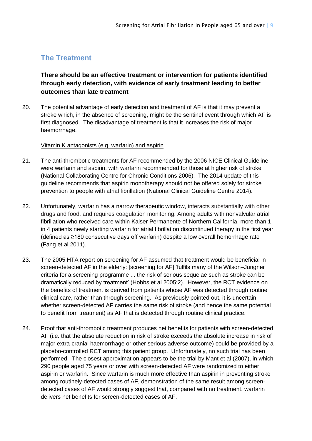# <span id="page-8-0"></span>**The Treatment**

## **There should be an effective treatment or intervention for patients identified through early detection, with evidence of early treatment leading to better outcomes than late treatment**

20. The potential advantage of early detection and treatment of AF is that it may prevent a stroke which, in the absence of screening, might be the sentinel event through which AF is first diagnosed. The disadvantage of treatment is that it increases the risk of major haemorrhage.

#### Vitamin K antagonists (e.g. warfarin) and aspirin

- 21. The anti-thrombotic treatments for AF recommended by the 2006 NICE Clinical Guideline were warfarin and aspirin, with warfarin recommended for those at higher risk of stroke (National Collaborating Centre for Chronic Conditions 2006). The 2014 update of this guideline recommends that aspirin monotherapy should not be offered solely for stroke prevention to people with atrial fibrillation (National Clinical Guideline Centre 2014).
- 22. Unfortunately, warfarin has a narrow therapeutic window, interacts substantially with other drugs and food, and requires coagulation monitoring. Among adults with nonvalvular atrial fibrillation who received care within Kaiser Permanente of Northern California, more than 1 in 4 patients newly starting warfarin for atrial fibrillation discontinued therapy in the first year (defined as ≥180 consecutive days off warfarin) despite a low overall hemorrhage rate (Fang et al 2011).
- 23. The 2005 HTA report on screening for AF assumed that treatment would be beneficial in screen-detected AF in the elderly: [screening for AF] 'fulfils many of the Wilson–Jungner criteria for a screening programme ... the risk of serious sequelae such as stroke can be dramatically reduced by treatment' (Hobbs et al 2005:2). However, the RCT evidence on the benefits of treatment is derived from patients whose AF was detected through routine clinical care, rather than through screening. As previously pointed out, it is uncertain whether screen-detected AF carries the same risk of stroke (and hence the same potential to benefit from treatment) as AF that is detected through routine clinical practice.
- 24. Proof that anti-thrombotic treatment produces net benefits for patients with screen-detected AF (i.e. that the absolute reduction in risk of stroke exceeds the absolute increase in risk of major extra-cranial haemorrhage or other serious adverse outcome) could be provided by a placebo-controlled RCT among this patient group. Unfortunately, no such trial has been performed. The closest approximation appears to be the trial by Mant et al (2007), in which 290 people aged 75 years or over with screen-detected AF were randomized to either aspirin or warfarin. Since warfarin is much more effective than aspirin in preventing stroke among routinely-detected cases of AF, demonstration of the same result among screendetected cases of AF would strongly suggest that, compared with no treatment, warfarin delivers net benefits for screen-detected cases of AF.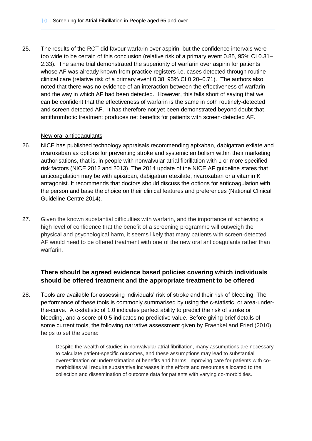25. The results of the RCT did favour warfarin over aspirin, but the confidence intervals were too wide to be certain of this conclusion (relative risk of a primary event 0.85, 95% CI 0.31– 2.33). The same trial demonstrated the superiority of warfarin over aspirin for patients whose AF was already known from practice registers i.e. cases detected through routine clinical care (relative risk of a primary event 0.38, 95% CI 0.20–0.71). The authors also noted that there was no evidence of an interaction between the effectiveness of warfarin and the way in which AF had been detected. However, this falls short of saying that we can be confident that the effectiveness of warfarin is the same in both routinely-detected and screen-detected AF. It has therefore not yet been demonstrated beyond doubt that antithrombotic treatment produces net benefits for patients with screen-detected AF.

#### New oral anticoagulants

- 26. NICE has published technology appraisals recommending apixaban, dabigatran exilate and rivaroxaban as options for preventing stroke and systemic embolism within their marketing authorisations, that is, in people with nonvalvular atrial fibrillation with 1 or more specified risk factors (NICE 2012 and 2013). The 2014 update of the NICE AF guideline states that anticoagulation may be with apixaban, dabigatran etexilate, rivaroxaban or a vitamin K antagonist. It recommends that doctors should discuss the options for anticoagulation with the person and base the choice on their clinical features and preferences (National Clinical Guideline Centre 2014).
- 27. Given the known substantial difficulties with warfarin, and the importance of achieving a high level of confidence that the benefit of a screening programme will outweigh the physical and psychological harm, it seems likely that many patients with screen-detected AF would need to be offered treatment with one of the new oral anticoagulants rather than warfarin.

## **There should be agreed evidence based policies covering which individuals should be offered treatment and the appropriate treatment to be offered**

28. Tools are available for assessing individuals' risk of stroke and their risk of bleeding. The performance of these tools is commonly summarised by using the c-statistic, or area-underthe-curve. A c-statistic of 1.0 indicates perfect ability to predict the risk of stroke or bleeding, and a score of 0.5 indicates no predictive value. Before giving brief details of some current tools, the following narrative assessment given by Fraenkel and Fried (2010) helps to set the scene:

> Despite the wealth of studies in nonvalvular atrial fibrillation, many assumptions are necessary to calculate patient-specific outcomes, and these assumptions may lead to substantial overestimation or underestimation of benefits and harms. Improving care for patients with comorbidities will require substantive increases in the efforts and resources allocated to the collection and dissemination of outcome data for patients with varying co-morbidities.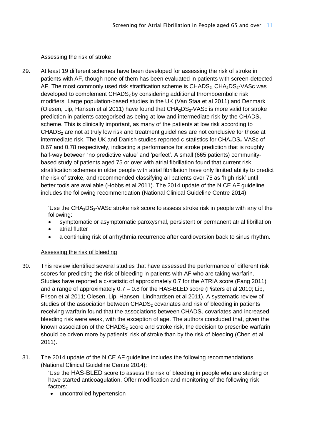#### Assessing the risk of stroke

29. At least 19 different schemes have been developed for assessing the risk of stroke in patients with AF, though none of them has been evaluated in patients with screen-detected AF. The most commonly used risk stratification scheme is  $CHADS<sub>2</sub> CHA<sub>2</sub>DS<sub>2</sub>-VASC was$ developed to complement CHADS<sub>2</sub> by considering additional thromboembolic risk modifiers. Large population-based studies in the UK (Van Staa et al 2011) and Denmark (Olesen, Lip, Hansen et al 2011) have found that  $CHA<sub>2</sub>DS<sub>2</sub>-VASC$  is more valid for stroke prediction in patients categorised as being at low and intermediate risk by the CHADS<sub>2</sub> scheme. This is clinically important, as many of the patients at low risk according to  $CHADS<sub>2</sub>$  are not at truly low risk and treatment guidelines are not conclusive for those at intermediate risk. The UK and Danish studies reported c-statistics for  $CHA<sub>2</sub>DS<sub>2</sub>-VASC of$ 0.67 and 0.78 respectively, indicating a performance for stroke prediction that is roughly half-way between 'no predictive value' and 'perfect'. A small (665 patients) communitybased study of patients aged 75 or over with atrial fibrillation found that current risk stratification schemes in older people with atrial fibrillation have only limited ability to predict the risk of stroke, and recommended classifying all patients over 75 as 'high risk' until better tools are available (Hobbs et al 2011). The 2014 update of the NICE AF guideline includes the following recommendation (National Clinical Guideline Centre 2014):

> 'Use the  $CHA<sub>2</sub>DS<sub>2</sub>$ -VASc stroke risk score to assess stroke risk in people with any of the following:

- symptomatic or asymptomatic paroxysmal, persistent or permanent atrial fibrillation
- atrial flutter
- a continuing risk of arrhythmia recurrence after cardioversion back to sinus rhythm.

#### Assessing the risk of bleeding

- 30. This review identified several studies that have assessed the performance of different risk scores for predicting the risk of bleeding in patients with AF who are taking warfarin. Studies have reported a c-statistic of approximately 0.7 for the ATRIA score (Fang 2011) and a range of approximately 0.7 – 0.8 for the HAS-BLED score (Pisters et al 2010; Lip, Frison et al 2011; Olesen, Lip, Hansen, Lindhardsen et al 2011). A systematic review of studies of the association between  $CHADS<sub>2</sub>$  covariates and risk of bleeding in patients receiving warfarin found that the associations between  $CHADS<sub>2</sub>$  covariates and increased bleeding risk were weak, with the exception of age. The authors concluded that, given the known association of the  $CHADS<sub>2</sub>$  score and stroke risk, the decision to prescribe warfarin should be driven more by patients' risk of stroke than by the risk of bleeding (Chen et al 2011).
- 31. The 2014 update of the NICE AF guideline includes the following recommendations (National Clinical Guideline Centre 2014):

'Use the HAS-BLED score to assess the risk of bleeding in people who are starting or have started anticoagulation. Offer modification and monitoring of the following risk factors:

uncontrolled hypertension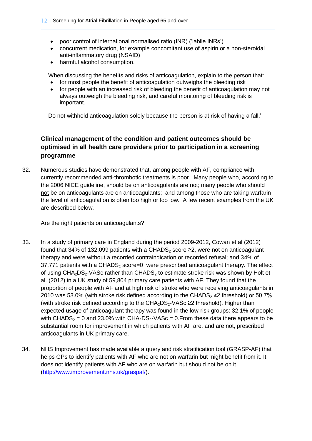- poor control of international normalised ratio (INR) ('labile INRs')
- concurrent medication, for example concomitant use of aspirin or a non-steroidal anti-inflammatory drug (NSAID)
- harmful alcohol consumption.

When discussing the benefits and risks of anticoagulation, explain to the person that:

- for most people the benefit of anticoagulation outweighs the bleeding risk
- for people with an increased risk of bleeding the benefit of anticoagulation may not always outweigh the bleeding risk, and careful monitoring of bleeding risk is important.

Do not withhold anticoagulation solely because the person is at risk of having a fall.'

# **Clinical management of the condition and patient outcomes should be optimised in all health care providers prior to participation in a screening programme**

32. Numerous studies have demonstrated that, among people with AF, compliance with currently recommended anti-thrombotic treatments is poor. Many people who, according to the 2006 NICE guideline, should be on anticoagulants are not; many people who should not be on anticoagulants are on anticoagulants; and among those who are taking warfarin the level of anticoagulation is often too high or too low. A few recent examples from the UK are described below.

#### Are the right patients on anticoagulants?

- 33. In a study of primary care in England during the period 2009-2012, Cowan et al (2012) found that 34% of 132,099 patients with a CHADS<sub>2</sub> score  $\geq$ 2, were not on anticoagulant therapy and were without a recorded contraindication or recorded refusal; and 34% of  $37,771$  patients with a CHADS<sub>2</sub> score=0 were prescribed anticoagulant therapy. The effect of using  $CHA<sub>2</sub>DS<sub>2</sub>-VASC rather than CHADS<sub>2</sub> to estimate stroke risk was shown by Holt et$ al. (2012) in a UK study of 59,804 primary care patients with AF. They found that the proportion of people with AF and at high risk of stroke who were receiving anticoagulants in 2010 was 53.0% (with stroke risk defined according to the CHADS<sub>2</sub>  $\geq$ 2 threshold) or 50.7% (with stroke risk defined according to the  $CHA<sub>2</sub>DS<sub>2</sub>$ -VASc ≥2 threshold). Higher than expected usage of anticoagulant therapy was found in the low-risk groups: 32.1% of people with CHADS<sub>2</sub> = 0 and 23.0% with CHA<sub>2</sub>DS<sub>2</sub>-VASc = 0.From these data there appears to be substantial room for improvement in which patients with AF are, and are not, prescribed anticoagulants in UK primary care.
- 34. NHS Improvement has made available a query and risk stratification tool (GRASP-AF) that helps GPs to identify patients with AF who are not on warfarin but might benefit from it. It does not identify patients with AF who are on warfarin but should not be on it [\(http://www.improvement.nhs.uk/graspaf/\)](http://www.improvement.nhs.uk/graspaf/).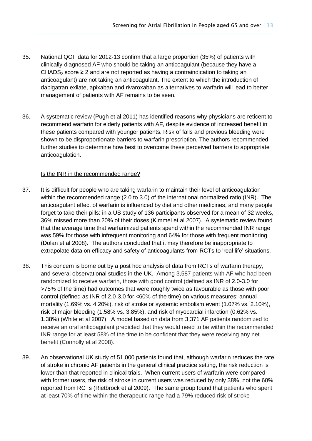- 35. National QOF data for 2012-13 confirm that a large proportion (35%) of patients with clinically-diagnosed AF who should be taking an anticoagulant (because they have a CHADS<sub>2</sub> score  $\geq 2$  and are not reported as having a contraindication to taking an anticoagulant) are not taking an anticoagulant. The extent to which the introduction of dabigatran exilate, apixaban and rivaroxaban as alternatives to warfarin will lead to better management of patients with AF remains to be seen.
- 36. A systematic review (Pugh et al 2011) has identified reasons why physicians are reticent to recommend warfarin for elderly patients with AF, despite evidence of increased benefit in these patients compared with younger patients. Risk of falls and previous bleeding were shown to be disproportionate barriers to warfarin prescription. The authors recommended further studies to determine how best to overcome these perceived barriers to appropriate anticoagulation.

#### Is the INR in the recommended range?

- 37. It is difficult for people who are taking warfarin to maintain their level of anticoagulation within the recommended range (2.0 to 3.0) of the international normalized ratio (INR). The anticoagulant effect of warfarin is influenced by diet and other medicines, and many people forget to take their pills: in a US study of 136 participants observed for a mean of 32 weeks, 36% missed more than 20% of their doses (Kimmel et al 2007). A systematic review found that the average time that warfarinized patients spend within the recommended INR range was 59% for those with infrequent monitoring and 64% for those with frequent monitoring (Dolan et al 2008). The authors concluded that it may therefore be inappropriate to extrapolate data on efficacy and safety of anticoagulants from RCTs to 'real life' situations.
- 38. This concern is borne out by a post hoc analysis of data from RCTs of warfarin therapy, and several observational studies in the UK. Among 3,587 patients with AF who had been randomized to receive warfarin, those with good control (defined as INR of 2.0-3.0 for >75% of the time) had outcomes that were roughly twice as favourable as those with poor control (defined as INR of 2.0-3.0 for <60% of the time) on various measures: annual mortality (1.69% vs. 4.20%), risk of stroke or systemic embolism event (1.07% vs. 2.10%), risk of major bleeding (1.58% vs. 3.85%), and risk of myocardial infarction (0.62% vs. 1.38%) (White et al 2007). A model based on data from 3,371 AF patients randomized to receive an oral anticoagulant predicted that they would need to be within the recommended INR range for at least 58% of the time to be confident that they were receiving any net benefit (Connolly et al 2008).
- 39. An observational UK study of 51,000 patients found that, although warfarin reduces the rate of stroke in chronic AF patients in the general clinical practice setting, the risk reduction is lower than that reported in clinical trials. When current users of warfarin were compared with former users, the risk of stroke in current users was reduced by only 38%, not the 60% reported from RCTs (Rietbrock et al 2009). The same group found that patients who spent at least 70% of time within the therapeutic range had a 79% reduced risk of stroke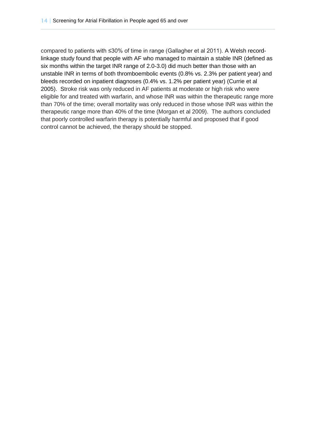compared to patients with ≤30% of time in range (Gallagher et al 2011). A Welsh recordlinkage study found that people with AF who managed to maintain a stable INR (defined as six months within the target INR range of 2.0-3.0) did much better than those with an unstable INR in terms of both thromboembolic events (0.8% vs. 2.3% per patient year) and bleeds recorded on inpatient diagnoses (0.4% vs. 1.2% per patient year) (Currie et al 2005). Stroke risk was only reduced in AF patients at moderate or high risk who were eligible for and treated with warfarin, and whose INR was within the therapeutic range more than 70% of the time; overall mortality was only reduced in those whose INR was within the therapeutic range more than 40% of the time (Morgan et al 2009). The authors concluded that poorly controlled warfarin therapy is potentially harmful and proposed that if good control cannot be achieved, the therapy should be stopped.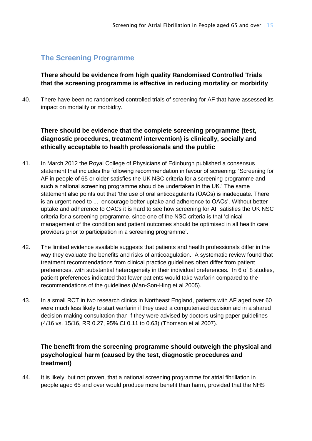# <span id="page-14-0"></span>**The Screening Programme**

**There should be evidence from high quality Randomised Controlled Trials that the screening programme is effective in reducing mortality or morbidity**

40. There have been no randomised controlled trials of screening for AF that have assessed its impact on mortality or morbidity.

## **There should be evidence that the complete screening programme (test, diagnostic procedures, treatment/ intervention) is clinically, socially and ethically acceptable to health professionals and the public**

- 41. In March 2012 the Royal College of Physicians of Edinburgh published a consensus statement that includes the following recommendation in favour of screening: 'Screening for AF in people of 65 or older satisfies the UK NSC criteria for a screening programme and such a national screening programme should be undertaken in the UK.' The same statement also points out that 'the use of oral anticoagulants (OACs) is inadequate. There is an urgent need to ... encourage better uptake and adherence to OACs'. Without better uptake and adherence to OACs it is hard to see how screening for AF satisfies the UK NSC criteria for a screening programme, since one of the NSC criteria is that 'clinical management of the condition and patient outcomes should be optimised in all health care providers prior to participation in a screening programme'.
- 42. The limited evidence available suggests that patients and health professionals differ in the way they evaluate the benefits and risks of anticoagulation. A systematic review found that treatment recommendations from clinical practice guidelines often differ from patient preferences, with substantial heterogeneity in their individual preferences. In 6 of 8 studies, patient preferences indicated that fewer patients would take warfarin compared to the recommendations of the guidelines (Man-Son-Hing et al 2005).
- 43. In a small RCT in two research clinics in Northeast England, patients with AF aged over 60 were much less likely to start warfarin if they used a computerised decision aid in a shared decision-making consultation than if they were advised by doctors using paper guidelines (4/16 vs. 15/16, RR 0.27, 95% CI 0.11 to 0.63) (Thomson et al 2007).

## **The benefit from the screening programme should outweigh the physical and psychological harm (caused by the test, diagnostic procedures and treatment)**

44. It is likely, but not proven, that a national screening programme for atrial fibrillation in people aged 65 and over would produce more benefit than harm, provided that the NHS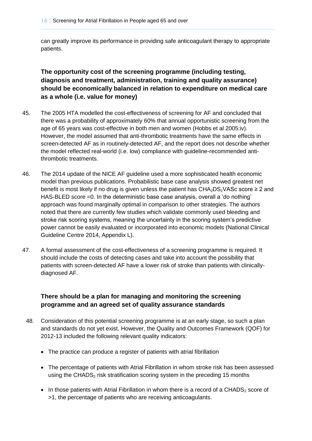can greatly improve its performance in providing safe anticoagulant therapy to appropriate patients.

## **The opportunity cost of the screening programme (including testing, diagnosis and treatment, administration, training and quality assurance) should be economically balanced in relation to expenditure on medical care as a whole (i.e. value for money)**

- 45. The 2005 HTA modelled the cost-effectiveness of screening for AF and concluded that there was a probability of approximately 60% that annual opportunistic screening from the age of 65 years was cost-effective in both men and women (Hobbs et al 2005:iv). However, the model assumed that anti-thrombotic treatments have the same effects in screen-detected AF as in routinely-detected AF, and the report does not describe whether the model reflected real-world (i.e. low) compliance with guideline-recommended antithrombotic treatments.
- 46. The 2014 update of the NICE AF guideline used a more sophisticated health economic model than previous publications. Probabilistic base case analysis showed greatest net benefit is most likely if no drug is given unless the patient has  $CHA<sub>2</sub>DS<sub>2</sub>VASc$  score  $\geq 2$  and HAS-BLED score =0. In the deterministic base case analysis, overall a 'do nothing' approach was found marginally optimal in comparison to other strategies. The authors noted that there are currently few studies which validate commonly used bleeding and stroke risk scoring systems, meaning the uncertainty in the scoring system's predictive power cannot be easily evaluated or incorporated into economic models (National Clinical Guideline Centre 2014, Appendix L).
- 47. A formal assessment of the cost-effectiveness of a screening programme is required. It should include the costs of detecting cases and take into account the possibility that patients with screen-detected AF have a lower risk of stroke than patients with clinicallydiagnosed AF.

#### **There should be a plan for managing and monitoring the screening programme and an agreed set of quality assurance standards**

- 48. Consideration of this potential screening programme is at an early stage, so such a plan and standards do not yet exist. However, the Quality and Outcomes Framework (QOF) for 2012-13 included the following relevant quality indicators:
	- The practice can produce a register of patients with atrial fibrillation
	- The percentage of patients with Atrial Fibrillation in whom stroke risk has been assessed using the CHADS $<sub>2</sub>$  risk stratification scoring system in the preceding 15 months</sub>
	- [In those patients with Atrial Fibrillation in whom there is a record of a CHADS](http://www.nice.org.uk/aboutnice/qof/indicators_detail.jsp?summary=13519)<sub>2</sub> score of [>1, the percentage of patients who are receiving anticoagulants.](http://www.nice.org.uk/aboutnice/qof/indicators_detail.jsp?summary=13519)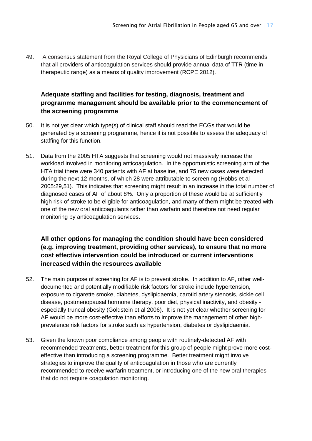49. A consensus statement from the Royal College of Physicians of Edinburgh recommends that all providers of anticoagulation services should provide annual data of TTR (time in therapeutic range) as a means of quality improvement (RCPE 2012).

## **Adequate staffing and facilities for testing, diagnosis, treatment and programme management should be available prior to the commencement of the screening programme**

- 50. It is not yet clear which type(s) of clinical staff should read the ECGs that would be generated by a screening programme, hence it is not possible to assess the adequacy of staffing for this function.
- 51. Data from the 2005 HTA suggests that screening would not massively increase the workload involved in monitoring anticoagulation. In the opportunistic screening arm of the HTA trial there were 340 patients with AF at baseline, and 75 new cases were detected during the next 12 months, of which 28 were attributable to screening (Hobbs et al 2005:29,51). This indicates that screening might result in an increase in the total number of diagnosed cases of AF of about 8%. Only a proportion of these would be at sufficiently high risk of stroke to be eligible for anticoagulation, and many of them might be treated with one of the new oral anticoagulants rather than warfarin and therefore not need regular monitoring by anticoagulation services.

## **All other options for managing the condition should have been considered (e.g. improving treatment, providing other services), to ensure that no more cost effective intervention could be introduced or current interventions increased within the resources available**

- 52. The main purpose of screening for AF is to prevent stroke. In addition to AF, other welldocumented and potentially modifiable risk factors for stroke include hypertension, exposure to cigarette smoke, diabetes, dyslipidaemia, carotid artery stenosis, sickle cell disease, postmenopausal hormone therapy, poor diet, physical inactivity, and obesity especially truncal obesity (Goldstein et al 2006). It is not yet clear whether screening for AF would be more cost-effective than efforts to improve the management of other highprevalence risk factors for stroke such as hypertension, diabetes or dyslipidaemia.
- 53. Given the known poor compliance among people with routinely-detected AF with recommended treatments, better treatment for this group of people might prove more costeffective than introducing a screening programme. Better treatment might involve strategies to improve the quality of anticoagulation in those who are currently recommended to receive warfarin treatment, or introducing one of the new oral therapies that do not require coagulation monitoring.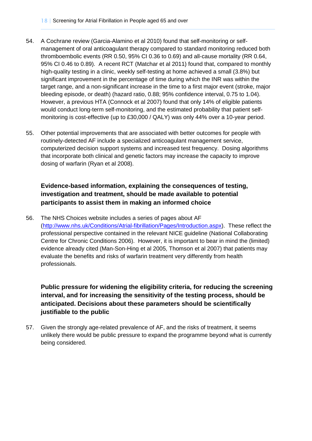- 54. A Cochrane review (Garcia-Alamino et al 2010) found that self-monitoring or selfmanagement of oral anticoagulant therapy compared to standard monitoring reduced both thromboembolic events (RR 0.50, 95% CI 0.36 to 0.69) and all-cause mortality (RR 0.64, 95% CI 0.46 to 0.89). A recent RCT (Matchar et al 2011) found that, compared to monthly high-quality testing in a clinic, weekly self-testing at home achieved a small (3.8%) but significant improvement in the percentage of time during which the INR was within the target range, and a non-significant increase in the time to a first major event (stroke, major bleeding episode, or death) (hazard ratio, 0.88; 95% confidence interval, 0.75 to 1.04). However, a previous HTA (Connock et al 2007) found that only 14% of eligible patients would conduct long-term self-monitoring, and the estimated probability that patient selfmonitoring is cost-effective (up to £30,000 / QALY) was only 44% over a 10-year period.
- 55. Other potential improvements that are associated with better outcomes for people with routinely-detected AF include a specialized anticoagulant management service, computerized decision support systems and increased test frequency. Dosing algorithms that incorporate both clinical and genetic factors may increase the capacity to improve dosing of warfarin (Ryan et al 2008).

#### **Evidence-based information, explaining the consequences of testing, investigation and treatment, should be made available to potential participants to assist them in making an informed choice**

56. The NHS Choices website includes a series of pages about AF [\(http://www.nhs.uk/Conditions/Atrial-fibrillation/Pages/Introduction.aspx\)](http://www.nhs.uk/Conditions/Atrial-fibrillation/Pages/Introduction.aspx). These reflect the professional perspective contained in the relevant NICE guideline (National Collaborating Centre for Chronic Conditions 2006). However, it is important to bear in mind the (limited) evidence already cited (Man-Son-Hing et al 2005, Thomson et al 2007) that patients may evaluate the benefits and risks of warfarin treatment very differently from health professionals.

**Public pressure for widening the eligibility criteria, for reducing the screening interval, and for increasing the sensitivity of the testing process, should be anticipated. Decisions about these parameters should be scientifically justifiable to the public**

57. Given the strongly age-related prevalence of AF, and the risks of treatment, it seems unlikely there would be public pressure to expand the programme beyond what is currently being considered.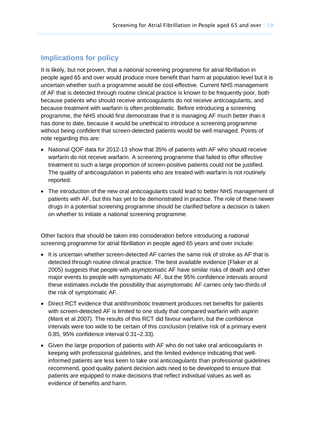# <span id="page-18-0"></span>**Implications for policy**

It is likely, but not proven, that a national screening programme for atrial fibrillation in people aged 65 and over would produce more benefit than harm at population level but it is uncertain whether such a programme would be cost-effective. Current NHS management of AF that is detected through routine clinical practice is known to be frequently poor, both because patients who should receive anticoagulants do not receive anticoagulants, and because treatment with warfarin is often problematic. Before introducing a screening programme, the NHS should first demonstrate that it is managing AF much better than it has done to date, because it would be unethical to introduce a screening programme without being confident that screen-detected patients would be well managed. Points of note regarding this are:

- National QOF data for 2012-13 show that 35% of patients with AF who should receive warfarin do not receive warfarin. A screening programme that failed to offer effective treatment to such a large proportion of screen-positive patients could not be justified. The quality of anticoagulation in patients who are treated with warfarin is not routinely reported.
- The introduction of the new oral anticoagulants could lead to better NHS management of patients with AF, but this has yet to be demonstrated in practice. The role of these newer drugs in a potential screening programme should be clarified before a decision is taken on whether to initiate a national screening programme.

Other factors that should be taken into consideration before introducing a national screening programme for atrial fibrillation in people aged 65 years and over include:

- It is uncertain whether screen-detected AF carries the same risk of stroke as AF that is detected through routine clinical practice. The best available evidence (Flaker et al 2005) suggests that people with asymptomatic AF have similar risks of death and other major events to people with symptomatic AF, but the 95% confidence intervals around these estimates include the possibility that asymptomatic AF carries only two-thirds of the risk of symptomatic AF.
- Direct RCT evidence that antithrombotic treatment produces net benefits for patients with screen-detected AF is limited to one study that compared warfarin with aspirin (Mant et al 2007). The results of this RCT did favour warfarin, but the confidence intervals were too wide to be certain of this conclusion (relative risk of a primary event 0.85, 95% confidence interval 0.31–2.33).
- Given the large proportion of patients with AF who do not take oral anticoagulants in keeping with professional guidelines, and the limited evidence indicating that wellinformed patients are less keen to take oral anticoagulants than professional guidelines recommend, good quality patient decision aids need to be developed to ensure that patients are equipped to make decisions that reflect individual values as well as evidence of benefits and harm.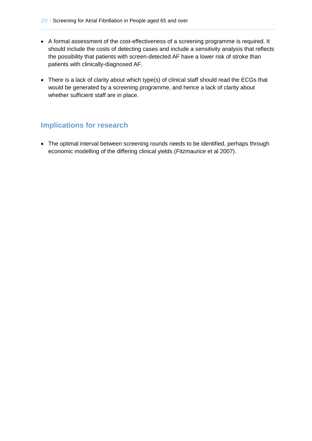- A formal assessment of the cost-effectiveness of a screening programme is required. It should include the costs of detecting cases and include a sensitivity analysis that reflects the possibility that patients with screen-detected AF have a lower risk of stroke than patients with clinically-diagnosed AF.
- There is a lack of clarity about which type(s) of clinical staff should read the ECGs that would be generated by a screening programme, and hence a lack of clarity about whether sufficient staff are in place.

# <span id="page-19-0"></span>**Implications for research**

 The optimal interval between screening rounds needs to be identified, perhaps through economic modelling of the differing clinical yields (Fitzmaurice et al 2007).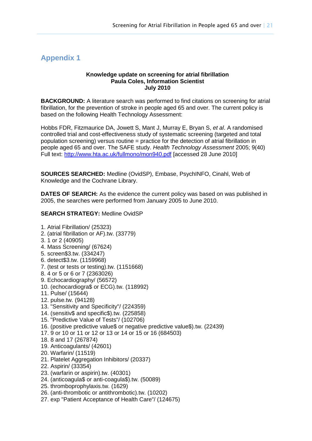# <span id="page-20-0"></span>**Appendix 1**

#### **Knowledge update on screening for atrial fibrillation Paula Coles, Information Scientist July 2010**

**BACKGROUND:** A literature search was performed to find citations on screening for atrial fibrillation, for the prevention of stroke in people aged 65 and over. The current policy is based on the following Health Technology Assessment:

Hobbs FDR, Fitzmaurice DA, Jowett S, Mant J, Murray E, Bryan S, *et al*. A randomised controlled trial and cost-effectiveness study of systematic screening (targeted and total population screening) versus routine = practice for the detection of atrial fibrillation in people aged 65 and over. The SAFE study. *Health Technology Assessment* 2005; 9(40) Full text:<http://www.hta.ac.uk/fullmono/mon940.pdf> [accessed 28 June 2010]

**SOURCES SEARCHED:** Medline (OvidSP), Embase, PsychINFO, Cinahl, Web of Knowledge and the Cochrane Library.

**DATES OF SEARCH:** As the evidence the current policy was based on was published in 2005, the searches were performed from January 2005 to June 2010.

#### **SEARCH STRATEGY:** Medline OvidSP

- 1. Atrial Fibrillation/ (25323)
- 2. (atrial fibrillation or AF).tw. (33779)
- 3. 1 or 2 (40905)
- 4. Mass Screening/ (67624)
- 5. screen\$3.tw. (334247)
- 6. detect\$3.tw. (1159968)
- 7. (test or tests or testing).tw. (1151668)
- 8. 4 or 5 or 6 or 7 (2363026)
- 9. Echocardiography/ (56572)
- 10. (echocardiogra\$ or ECG).tw. (118992)
- 11. Pulse/ (15644)
- 12. pulse.tw. (94128)
- 13. "Sensitivity and Specificity"/ (224359)
- 14. (sensitiv\$ and specific\$).tw. (225858)
- 15. "Predictive Value of Tests"/ (102706)
- 16. (positive predictive value\$ or negative predictive value\$).tw. (22439)
- 17. 9 or 10 or 11 or 12 or 13 or 14 or 15 or 16 (684503)
- 18. 8 and 17 (267874)
- 19. Anticoagulants/ (42601)
- 20. Warfarin/ (11519)
- 21. Platelet Aggregation Inhibitors/ (20337)
- 22. Aspirin/ (33354)
- 23. (warfarin or aspirin).tw. (40301)
- 24. (anticoagula\$ or anti-coagula\$).tw. (50089)
- 25. thromboprophylaxis.tw. (1629)
- 26. (anti-thrombotic or antithrombotic).tw. (10202)
- 27. exp "Patient Acceptance of Health Care"/ (124675)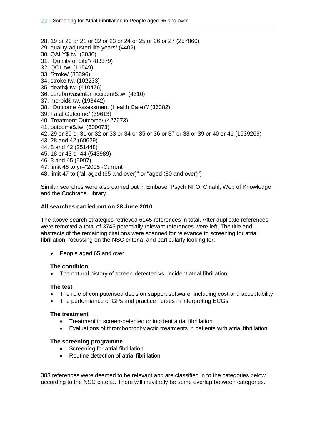28. 19 or 20 or 21 or 22 or 23 or 24 or 25 or 26 or 27 (257860) 29. quality-adjusted life years/ (4402) 30. QALY\$.tw. (3036) 31. "Quality of Life"/ (83379) 32. QOL.tw. (11549) 33. Stroke/ (36396) 34. stroke.tw. (102233) 35. death\$.tw. (410476) 36. cerebrovascular accident\$.tw. (4310) 37. morbid\$.tw. (193442) 38. "Outcome Assessment (Health Care)"/ (36382) 39. Fatal Outcome/ (39613) 40. Treatment Outcome/ (427673) 41. outcome\$.tw. (600073) 42. 29 or 30 or 31 or 32 or 33 or 34 or 35 or 36 or 37 or 38 or 39 or 40 or 41 (1539269) 43. 28 and 42 (69629) 44. 8 and 42 (251448) 45. 18 or 43 or 44 (543989) 46. 3 and 45 (5997) 47. limit 46 to yr="2005 -Current" 48. limit 47 to ("all aged (65 and over)" or "aged (80 and over)")

Similar searches were also carried out in Embase, PsychINFO, Cinahl, Web of Knowledge and the Cochrane Library.

#### **All searches carried out on 28 June 2010**

The above search strategies retrieved 6145 references in total. After duplicate references were removed a total of 3745 potentially relevant references were left. The title and abstracts of the remaining citations were scanned for relevance to screening for atrial fibrillation, focussing on the NSC criteria, and particularly looking for:

• People aged 65 and over

#### **The condition**

The natural history of screen-detected vs. incident atrial fibrillation

#### **The test**

- The role of computerised decision support software, including cost and acceptability
- The performance of GPs and practice nurses in interpreting ECGs

#### **The treatment**

- Treatment in screen-detected or incident atrial fibrillation
- Evaluations of thromboprophylactic treatments in patients with atrial fibrillation

#### **The screening programme**

- Screening for atrial fibrillation
- Routine detection of atrial fibrillation

383 references were deemed to be relevant and are classified in to the categories below according to the NSC criteria. There will inevitably be some overlap between categories.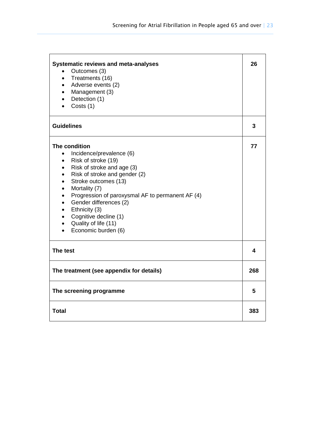| <b>Systematic reviews and meta-analyses</b><br>Outcomes (3)<br>$\bullet$<br>Treatments (16)<br>$\bullet$<br>Adverse events (2)<br>$\bullet$<br>Management (3)<br>$\bullet$<br>Detection (1)<br>$\bullet$<br>Costs (1)<br>$\bullet$                                                                                                                                                                                                                                                                          | 26  |
|-------------------------------------------------------------------------------------------------------------------------------------------------------------------------------------------------------------------------------------------------------------------------------------------------------------------------------------------------------------------------------------------------------------------------------------------------------------------------------------------------------------|-----|
| <b>Guidelines</b>                                                                                                                                                                                                                                                                                                                                                                                                                                                                                           | 3   |
| The condition<br>Incidence/prevalence (6)<br>$\bullet$<br>Risk of stroke (19)<br>$\bullet$<br>Risk of stroke and age (3)<br>$\bullet$<br>Risk of stroke and gender (2)<br>$\bullet$<br>Stroke outcomes (13)<br>$\bullet$<br>Mortality (7)<br>$\bullet$<br>Progression of paroxysmal AF to permanent AF (4)<br>$\bullet$<br>Gender differences (2)<br>$\bullet$<br>Ethnicity (3)<br>$\bullet$<br>Cognitive decline (1)<br>$\bullet$<br>Quality of life (11)<br>$\bullet$<br>Economic burden (6)<br>$\bullet$ | 77  |
| The test                                                                                                                                                                                                                                                                                                                                                                                                                                                                                                    | 4   |
| The treatment (see appendix for details)                                                                                                                                                                                                                                                                                                                                                                                                                                                                    | 268 |
| The screening programme                                                                                                                                                                                                                                                                                                                                                                                                                                                                                     | 5   |
| <b>Total</b>                                                                                                                                                                                                                                                                                                                                                                                                                                                                                                | 383 |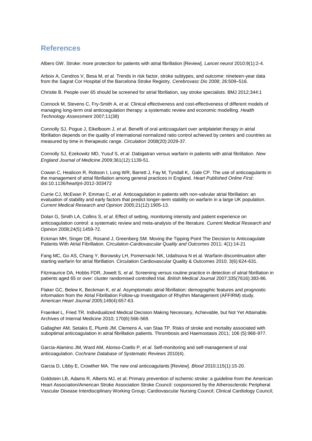#### <span id="page-23-0"></span>**References**

Albers GW. Stroke: more protection for patients with atrial fibrillation [Review]. *Lancet neurol* 2010;9(1):2-4.

Arboix A, Cendros V, Besa M, *et al.* Trends in risk factor, stroke subtypes, and outcome: nineteen-year data from the Sagrat Cor Hospital of the Barcelona Stroke Registry. *Cerebrovasc Dis* 2008; 26:509–516.

Christie B. People over 65 should be screened for atrial fibrillation, say stroke specialists. BMJ 2012;344:1

Connock M, Stevens C, Fry-Smith A, *et al*. Clinical effectiveness and cost-effectiveness of different models of managing long-term oral anticoagulation therapy: a systematic review and economic modelling. *Health Technology Assessment* 2007;11(38)

Connolly SJ, Pogue J, Eikelboom J, *et al*. Benefit of oral anticoagulant over antiplatelet therapy in atrial fibrillation depends on the quality of international normalized ratio control achieved by centers and countries as measured by time in therapeutic range. *Circulation* 2008(20):2029-37.

Connolly SJ, Ezekowitz MD, Yusuf S, *et al*. Dabigatran versus warfarin in patients with atrial fibrillation. *New England Journal of Medicine 2*009;361(12):1139-51.

Cowan C, Healicon R, Robson I, Long WR, Barrett J, Fay M, Tyndall K, Gale CP. The use of anticoagulants in the management of atrial fibrillation among general practices in England. *Heart Published Online First*: doi:10.1136/heartjnl-2012-303472

Currie CJ, McEwan P, Emmas C, *et al.* Anticoagulation in patients with non-valvular atrial fibrillation: an evaluation of stability and early factors that predict longer-term stability on warfarin in a large UK population. *Current Medical Research and Opinion* 2005;21(12):1905-13.

Dolan G, Smith LA, Collins S, *et al*. Effect of setting, monitoring intensity and patient experience on anticoagulation control: a systematic review and meta-analysis of the literature. *Current Medical Research and Opinion* 2008;24(5):1459-72.

Eckman MH, Singer DE, Rosand J, Greenberg SM. Moving the Tipping Point The Decision to Anticoagulate Patients With Atrial Fibrillation. *Circulation-Cardiovascular Quality and Outcomes* 2011; 4(1):14-21

Fang MC, Go AS, Chang Y, Borowsky LH, Pomernacki NK, Udaltsova N et al. Warfarin discontinuation after starting warfarin for atrial fibrillation. Circulation Cardiovascular Quality & Outcomes 2010; 3(6):624-631.

Fitzmaurice DA, Hobbs FDR, Jowett S, *et al*. Screening versus routine practice in detection of atrial fibrillation in patients aged 65 or over: cluster randomised controlled trial. *British Medical Journal* 2007;335(7616):383-86.

Flaker GC, Belew K, Beckman K, *et al*. Asymptomatic atrial fibrillation: demographic features and prognostic information from the Atrial Fibrillation Follow-up Investigation of Rhythm Management (AFFIRM) study. *American Heart Journal* 2005;149(4):657-63.

Fraenkel L, Fried TR. Individualized Medical Decision Making Necessary, Achievable, but Not Yet Attainable. Archives of Internal Medicine 2010; 170(6):566-569.

Gallagher AM, Setakis E, Plumb JM, Clemens A, van Staa TP. Risks of stroke and mortality associated with suboptimal anticoagulation in atrial fibrillation patients. Thrombosis and Haemostasis 2011; 106 (5):968-977.

Garcia-Alamino JM, Ward AM, Alonso-Coello P, *et al*. Self-monitoring and self-management of oral anticoagulation. *Cochrane Database of Systematic Reviews* 2010(4).

Garcia D, Libby E, Crowther MA. The new oral anticoagulants [Review]. *Blood* 2010;115(1):15-20.

Goldstein LB, Adams R, Alberts MJ, et al; Primary prevention of ischemic stroke: a guideline from the American Heart Association/American Stroke Association Stroke Council: cosponsored by the Atherosclerotic Peripheral Vascular Disease Interdisciplinary Working Group; Cardiovascular Nursing Council; Clinical Cardiology Council;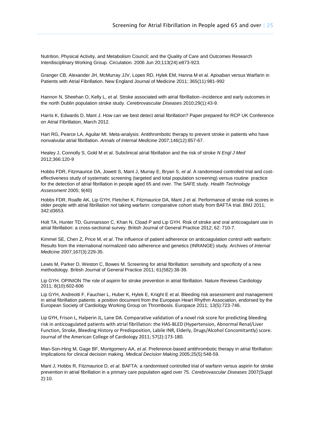Nutrition, Physical Activity, and Metabolism Council; and the Quality of Care and Outcomes Research Interdisciplinary Working Group. Circulation. 2006 Jun 20;113(24):e873-923.

Granger CB, Alexander JH, McMurray JJV, Lopes RD, Hylek EM, Hanna M et al. Apixaban versus Warfarin in Patients with Atrial Fibrillation. New England Journal of Medicine 2011; 365(11):981-992

Hannon N, Sheehan O, Kelly L, *et al*. Stroke associated with atrial fibrillation--incidence and early outcomes in the north Dublin population stroke study. *Cerebrovascular Diseases* 2010;29(1):43-9.

Harris K, Edwards D, Mant J. How can we best detect atrial fibrillation? Paper prepared for RCP UK Conference on Atrial Fibrillation, March 2012.

Hart RG, Pearce LA, Aguilar MI. Meta-analysis: Antithrombotic therapy to prevent stroke in patients who have nonvalvular atrial fibrillation. *Annals of Internal Medicine* 2007;146(12):857-67.

Healey J, Connolly S, Gold M et al. Subclinical atrial fibrillation and the risk of stroke *N Engl J Med* 2012;366:120-9

Hobbs FDR, Fitzmaurice DA, Jowett S, Mant J, Murray E, Bryan S, *et al*. A randomised controlled trial and costeffectiveness study of systematic screening (targeted and total population screening) versus routine practice for the detection of atrial fibrillation in people aged 65 and over. The SAFE study. *Health Technology Assessment* 2005; 9(40)

Hobbs FDR, Roalfe AK, Lip GYH, Fletcher K, Fitzmaurice DA, Mant J et al. Performance of stroke risk scores in older people with atrial fibrillation not taking warfarin: comparative cohort study from BAFTA trial. BMJ 2011; 342:d3653.

Holt TA, Hunter TD, Gunnarsson C, Khan N, Cload P and Lip GYH. Risk of stroke and oral anticoagulant use in atrial fibrillation: a cross-sectional survey. British Journal of General Practice 2012; 62: 710-7.

Kimmel SE, Chen Z, Price M, *et al*. The influence of patient adherence on anticoagulation control with warfarin: Results from the international normalized ratio adherence and genetics (INRANGE) study. *Archives of Internal Medicine* 2007;167(3):229-35.

Lewis M, Parker D, Weston C, Bowes M. Screening for atrial fibrillation: sensitivity and specificity of a new methodology. British Journal of General Practice 2011; 61(582):38-39.

Lip GYH. OPINION The role of aspirin for stroke prevention in atrial fibrillation. Nature Reviews Cardiology 2011; 8(10):602-606

Lip GYH, Andreotti F, Fauchier L, Huber K, Hylek E, Knight E et al. Bleeding risk assessment and management in atrial fibrillation patients: a position document from the European Heart Rhythm Association, endorsed by the European Society of Cardiology Working Group on Thrombosis. Europace 2011; 13(5):723-746.

Lip GYH, Frison L, Halperin JL, Lane DA. Comparative validation of a novel risk score for predicting bleeding risk in anticoagulated patients with atrial fibrillation: the HAS-BLED (Hypertension, Abnormal Renal/Liver Function, Stroke, Bleeding History or Predisposition, Labile INR, Elderly, Drugs/Alcohol Concomitantly) score. Journal of the American College of Cardiology 2011; 57(2):173-180.

Man-Son-Hing M, Gage BF, Montgomery AA, *et al*. Preference-based antithrombotic therapy in atrial fibrillation: Implications for clinical decision making. *Medical Decision Making* 2005;25(5):548-59.

Mant J, Hobbs R, Fitzmaurice D, *et al*. BAFTA: a randomised controlled trial of warfarin versus aspirin for stroke prevention in atrial fibrillation in a primary care population aged over 75. *Cerebrovascular Diseases* 2007(Suppl 2):10.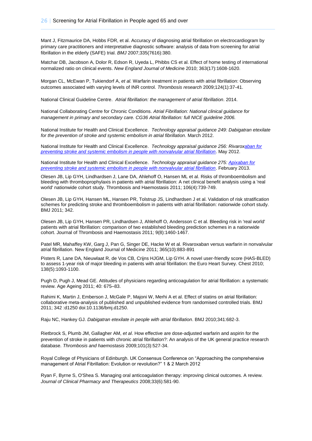Mant J, Fitzmaurice DA, Hobbs FDR, et al. Accuracy of diagnosing atrial fibrillation on electrocardiogram by primary care practitioners and interpretative diagnostic software: analysis of data from screening for atrial fibrillation in the elderly (SAFE) trial. *BMJ* 2007;335(7616):380.

Matchar DB, Jacobson A, Dolor R, Edson R, Uyeda L, Phibbs CS et al. Effect of home testing of international normalized ratio on clinical events. *New England Journal of Medicin*e 2010; 363(17):1608-1620.

Morgan CL, McEwan P, Tukiendorf A, *et al.* Warfarin treatment in patients with atrial fibrillation: Observing outcomes associated with varying levels of INR control. *Thrombosis research* 2009;124(1):37-41.

National Clinical Guideline Centre. *Atrial fibrillation: the management of atrial fibrillation*. 2014.

National Collaborating Centre for Chronic Conditions. *Atrial Fibrillation: National clinical guidance for management in primary and secondary care. CG36 Atrial fibrillation: full NICE guideline 2006.*

National Institute for Health and Clinical Excellence. *Technology appraisal guidance 249: Dabigatran etexilate for the prevention of stroke and systemic embolism in atrial fibrillation.* March 2012.

National Institute for Health and Clinical Excellence. *Technology appraisal guidance 256: Rivaro[xaban for](http://guidance.nice.org.uk/TA275)  [preventing stroke and systemic embolism in people with nonvalvular atrial fibrillation](http://guidance.nice.org.uk/TA275)*. May 2012.

National Institute for Health and Clinical Excellence. *Technology appraisal guidance 275: [Apixaban for](http://guidance.nice.org.uk/TA275)  [preventing stroke and systemic embolism in people with nonvalvular atrial fibrillation](http://guidance.nice.org.uk/TA275)*. February 2013.

Olesen JB, Lip GYH, Lindhardsen J, Lane DA, Ahlehoff O, Hansen ML et al. Risks of thromboembolism and bleeding with thromboprophylaxis in patients with atrial fibrillation: A net clinical benefit analysis using a 'real world' nationwide cohort study. Thrombosis and Haemostasis 2011; 106(4):739-749.

Olesen JB, Lip GYH, Hansen ML, Hansen PR, Tolstrup JS, Lindhardsen J et al. Validation of risk stratification schemes for predicting stroke and thromboembolism in patients with atrial fibrillation: nationwide cohort study. BMJ 2011; 342.

Olesen JB, Lip GYH, Hansen PR, Lindhardsen J, Ahlehoff O, Andersson C et al. Bleeding risk in 'real world' patients with atrial fibrillation: comparison of two established bleeding prediction schemes in a nationwide cohort. Journal of Thrombosis and Haemostasis 2011; 9(8):1460-1467.

Patel MR, Mahaffey KW, Garg J, Pan G, Singer DE, Hacke W et al. Rivaroxaban versus warfarin in nonvalvular atrial fibrillation. New England Journal of Medicine 2011; 365(10):883-891

Pisters R, Lane DA, Nieuwlaat R, de Vos CB, Crijns HJGM, Lip GYH. A novel user-friendly score (HAS-BLED) to assess 1-year risk of major bleeding in patients with atrial fibrillation: the Euro Heart Survey. Chest 2010; 138(5):1093-1100.

Pugh D, Pugh J, Mead GE. Attitudes of physicians regarding anticoagulation for atrial fibrillation: a systematic review. Age Ageing 2011; 40: 675–83.

Rahimi K, Martin J, Emberson J, McGale P, Majoni W, Merhi A et al. Effect of statins on atrial fibrillation: collaborative meta-analysis of published and unpublished evidence from randomised controlled trials. BMJ 2011; 342 :d1250 doi:10.1136/bmj.d1250.

Raju NC, Hankey GJ. *Dabigatran etexilate in people with atrial fibrillation*. BMJ 2010;341:682-3.

Rietbrock S, Plumb JM, Gallagher AM, *et al*. How effective are dose-adjusted warfarin and aspirin for the prevention of stroke in patients with chronic atrial fibrillation?: An analysis of the UK general practice research database. *Thrombosis and haemostasis* 2009;101(3):527-34.

Royal College of Physicians of Edinburgh. UK Consensus Conference on "Approaching the comprehensive management of Atrial Fibrillation: Evolution or revolution?" 1 & 2 March 2012

Ryan F, Byrne S, O'Shea S. Managing oral anticoagulation therapy: improving clinical outcomes. A review. *Journal of Clinical Pharmacy and Therapeutics* 2008;33(6):581-90.